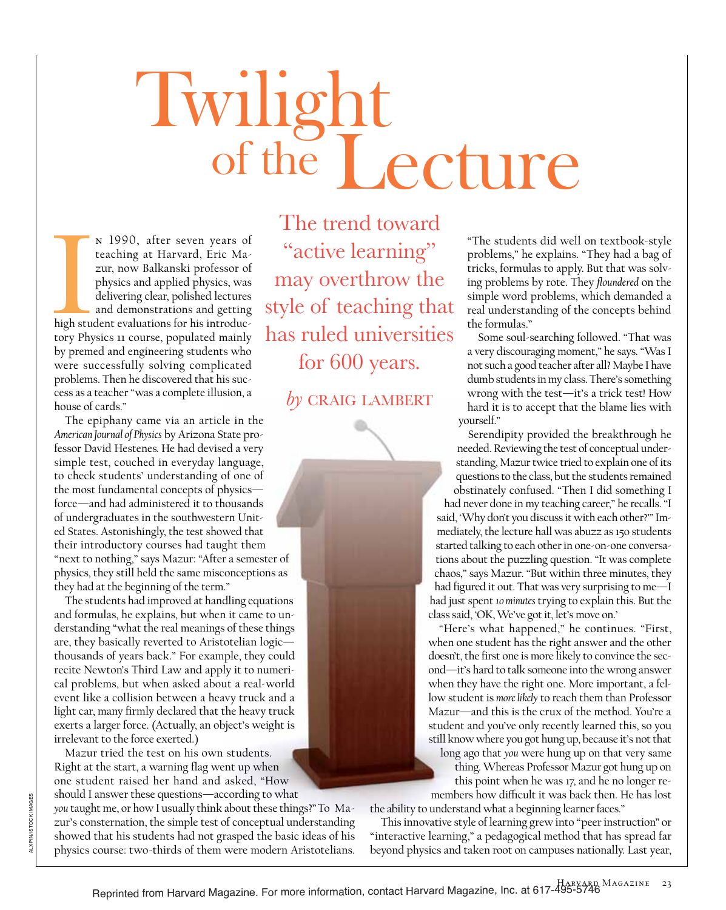## Twilight of the Lecture

Inigh students n 1990, after seven years of teaching at Harvard, Eric Mazur, now Balkanski professor of physics and applied physics, was delivering clear, polished lectures and demonstrations and getting high student evaluations for his introductory Physics 11 course, populated mainly by premed and engineering students who were successfully solving complicated problems. Then he discovered that his success as a teacher "was a complete illusion, a house of cards."

The epiphany came via an article in the *American Journal of Physics* by Arizona State professor David Hestenes*.* He had devised a very simple test, couched in everyday language, to check students' understanding of one of the most fundamental concepts of physics force—and had administered it to thousands of undergraduates in the southwestern United States. Astonishingly, the test showed that their introductory courses had taught them "next to nothing," says Mazur: "After a semester of physics, they still held the same misconceptions as they had at the beginning of the term."

The students had improved at handling equations and formulas, he explains, but when it came to understanding "what the real meanings of these things are, they basically reverted to Aristotelian logic thousands of years back." For example, they could recite Newton's Third Law and apply it to numerical problems, but when asked about a real-world event like a collision between a heavy truck and a light car, many firmly declared that the heavy truck exerts a larger force. (Actually, an object's weight is irrelevant to the force exerted.)

Mazur tried the test on his own students. Right at the start, a warning flag went up when one student raised her hand and asked, "How should I answer these questions—according to what

*you* taught me, or how I usually think about these things?" To Mazur's consternation, the simple test of conceptual understanding showed that his students had not grasped the basic ideas of his physics course: two-thirds of them were modern Aristotelians.

The trend toward "active learning" may overthrow the style of teaching that has ruled universities for 600 years.

by CRAIG LAMBERT

"The students did well on textbook-style problems," he explains. "They had a bag of tricks, formulas to apply. But that was solving problems by rote. They *floundered* on the simple word problems, which demanded a real understanding of the concepts behind the formulas."

Some soul-searching followed. "That was a very discouraging moment," he says. "Was I not such a good teacher after all? Maybe I have dumb students in my class. There's something wrong with the test—it's a trick test! How hard it is to accept that the blame lies with yourself."

Serendipity provided the breakthrough he needed. Reviewing the test of conceptual understanding, Mazur twice tried to explain one of its questions to the class, but the students remained obstinately confused. "Then I did something I had never done in my teaching career," he recalls. "I said, 'Why don't you discuss it with each other?'" Immediately, the lecture hall was abuzz as 150 students started talking to each other in one-on-one conversations about the puzzling question. "It was complete chaos," says Mazur. "But within three minutes, they had figured it out. That was very surprising to me—I had just spent *10 minutes* trying to explain this. But the class said, 'OK, We've got it, let's move on.'

"Here's what happened," he continues. "First, when one student has the right answer and the other doesn't, the first one is more likely to convince the second—it's hard to talk someone into the wrong answer when they have the right one. More important, a fellow student is *more likely* to reach them than Professor Mazur—and this is the crux of the method. You're a student and you've only recently learned this, so you still know where you got hung up, because it's not that

long ago that *you* were hung up on that very same thing. Whereas Professor Mazur got hung up on this point when he was 17, and he no longer remembers how difficult it was back then. He has lost

the ability to understand what a beginning learner faces."

This innovative style of learning grew into "peer instruction" or "interactive learning," a pedagogical method that has spread far beyond physics and taken root on campuses nationally. Last year,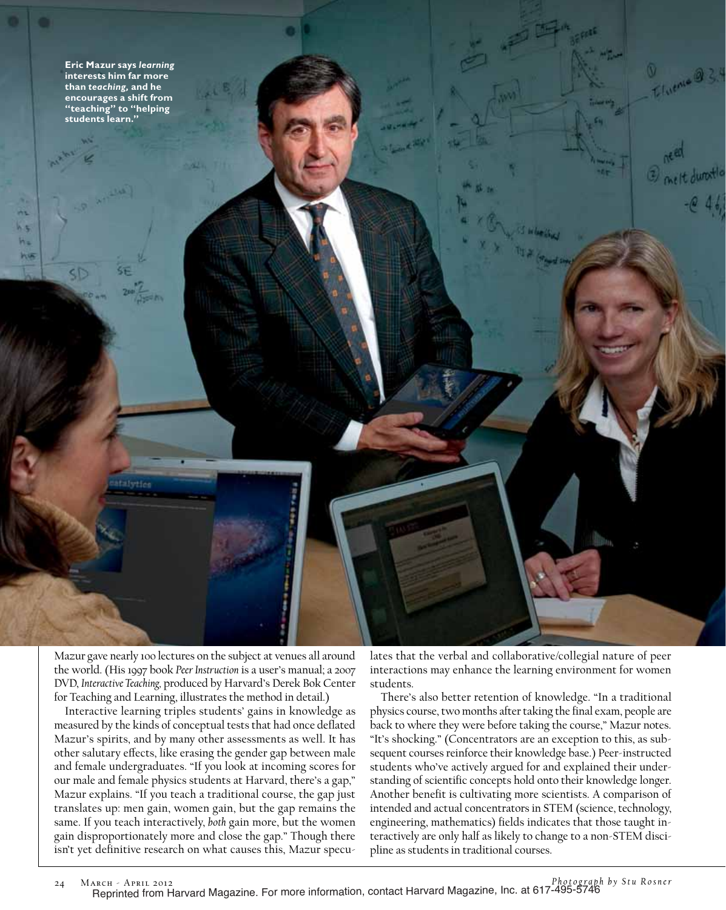

afsetier

m h s W. **WG** 

> Mazur gave nearly 100 lectures on the subject at venues all around the world. (His 1997 book *Peer Instruction* is a user's manual; a 2007 DVD, *Interactive Teaching,* produced by Harvard's Derek Bok Center for Teaching and Learning, illustrates the method in detail.)

> Interactive learning triples students' gains in knowledge as measured by the kinds of conceptual tests that had once deflated Mazur's spirits, and by many other assessments as well. It has other salutary effects, like erasing the gender gap between male and female undergraduates. "If you look at incoming scores for our male and female physics students at Harvard, there's a gap," Mazur explains. "If you teach a traditional course, the gap just translates up: men gain, women gain, but the gap remains the same. If you teach interactively, *both* gain more, but the women gain disproportionately more and close the gap." Though there isn't yet definitive research on what causes this, Mazur specu

lates that the verbal and collaborative/collegial nature of peer interactions may enhance the learning environment for women students.

Livenie 9

There's also better retention of knowledge. "In a traditional physics course, two months after taking the final exam, people are back to where they were before taking the course," Mazur notes. "It's shocking." (Concentrators are an exception to this, as subsequent courses reinforce their knowledge base.) Peer-instructed students who've actively argued for and explained their understanding of scientific concepts hold onto their knowledge longer. Another benefit is cultivating more scientists. A comparison of intended and actual concentrators in STEM (science, technology, engineering, mathematics) fields indicates that those taught interactively are only half as likely to change to a non-STEM discipline as students in traditional courses.

24 March - April 2012 *Photograph by Stu Rosner* Reprinted from Harvard Magazine. For more information, contact Harvard Magazine, Inc. at 617-495-5746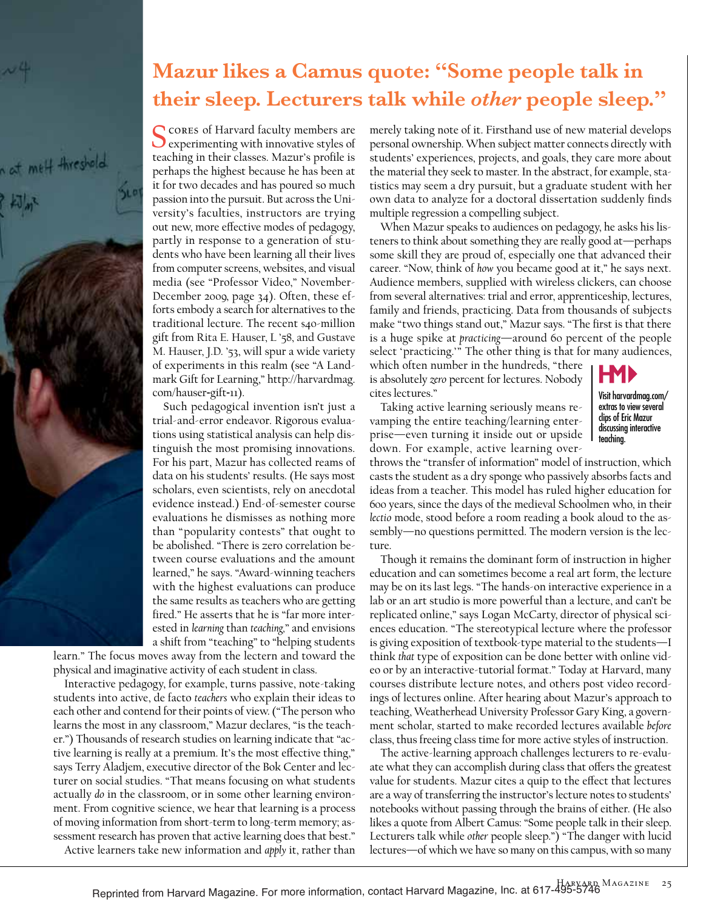

## **Mazur likes a Camus quote: "Some people talk in their sleep. Lecturers talk while** *other* **people sleep."**

Scores of Harvard faculty members are experimenting with innovative styles of teaching in their classes. Mazur's profile is perhaps the highest because he has been at it for two decades and has poured so much passion into the pursuit. But across the University's faculties, instructors are trying out new, more effective modes of pedagogy, partly in response to a generation of students who have been learning all their lives from computer screens, websites, and visual media (see "Professor Video," November-December 2009, page 34). Often, these efforts embody a search for alternatives to the traditional lecture. The recent \$40-million gift from Rita E. Hauser, L '58, and Gustave M. Hauser, J.D. '53, will spur a wide variety of experiments in this realm (see "A Landmark Gift for Learning," http://harvardmag. com/hauser-gift-11).

Such pedagogical invention isn't just a trial-and-error endeavor. Rigorous evaluations using statistical analysis can help distinguish the most promising innovations. For his part, Mazur has collected reams of data on his students' results. (He says most scholars, even scientists, rely on anecdotal evidence instead.) End-of-semester course evaluations he dismisses as nothing more than "popularity contests" that ought to be abolished. "There is zero correlation between course evaluations and the amount learned," he says. "Award-winning teachers with the highest evaluations can produce the same results as teachers who are getting fired." He asserts that he is "far more interested in *learning* than *teaching,*" and envisions a shift from "teaching" to "helping students

learn." The focus moves away from the lectern and toward the physical and imaginative activity of each student in class.

Interactive pedagogy, for example, turns passive, note-taking students into active, de facto *teachers* who explain their ideas to each other and contend for their points of view. ("The person who learns the most in any classroom," Mazur declares, "is the teacher.") Thousands of research studies on learning indicate that "active learning is really at a premium. It's the most effective thing," says Terry Aladjem, executive director of the Bok Center and lecturer on social studies. "That means focusing on what students actually *do* in the classroom, or in some other learning environment. From cognitive science, we hear that learning is a process of moving information from short-term to long-term memory; assessment research has proven that active learning does that best." Active learners take new information and *apply* it, rather than

merely taking note of it. Firsthand use of new material develops personal ownership. When subject matter connects directly with students' experiences, projects, and goals, they care more about the material they seek to master. In the abstract, for example, statistics may seem a dry pursuit, but a graduate student with her own data to analyze for a doctoral dissertation suddenly finds multiple regression a compelling subject.

When Mazur speaks to audiences on pedagogy, he asks his listeners to think about something they are really good at—perhaps some skill they are proud of, especially one that advanced their career. "Now, think of *how* you became good at it," he says next. Audience members, supplied with wireless clickers, can choose from several alternatives: trial and error, apprenticeship, lectures, family and friends, practicing. Data from thousands of subjects make "two things stand out," Mazur says. "The first is that there is a huge spike at *practicing*—around 60 percent of the people select 'practicing.'" The other thing is that for many audiences,

which often number in the hundreds, "there is absolutely *zero* percent for lectures. Nobody cites lectures."



discussing interactive teaching.

Taking active learning seriously means revamping the entire teaching/learning enterprise—even turning it inside out or upside down. For example, active learning over-

throws the "transfer of information" model of instruction, which casts the student as a dry sponge who passively absorbs facts and ideas from a teacher. This model has ruled higher education for 600 years, since the days of the medieval Schoolmen who, in their *lectio* mode, stood before a room reading a book aloud to the assembly—no questions permitted. The modern version is the lecture.

Though it remains the dominant form of instruction in higher education and can sometimes become a real art form, the lecture may be on its last legs. "The hands-on interactive experience in a lab or an art studio is more powerful than a lecture, and can't be replicated online," says Logan McCarty, director of physical sciences education. "The stereotypical lecture where the professor is giving exposition of textbook-type material to the students—I think *that* type of exposition can be done better with online video or by an interactive-tutorial format." Today at Harvard, many courses distribute lecture notes, and others post video recordings of lectures online. After hearing about Mazur's approach to teaching, Weatherhead University Professor Gary King, a government scholar, started to make recorded lectures available *before* class, thus freeing class time for more active styles of instruction.

The active-learning approach challenges lecturers to re-evaluate what they can accomplish during class that offers the greatest value for students. Mazur cites a quip to the effect that lectures are a way of transferring the instructor's lecture notes to students' notebooks without passing through the brains of either. (He also likes a quote from Albert Camus: "Some people talk in their sleep. Lecturers talk while *other* people sleep.") "The danger with lucid lectures—of which we have so many on this campus, with so many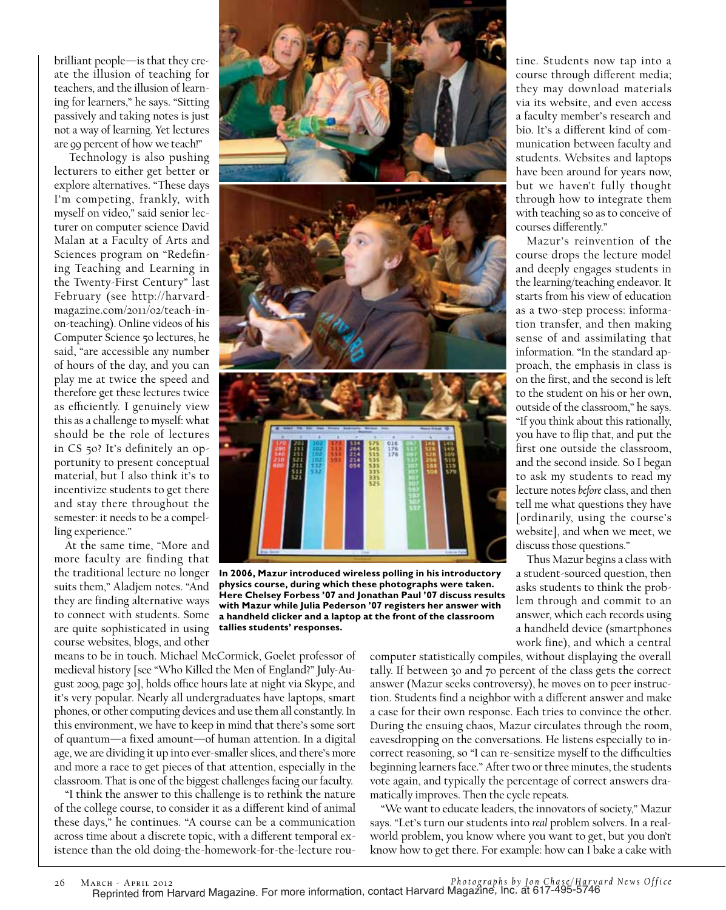brilliant people—is that they create the illusion of teaching for teachers, and the illusion of learning for learners," he says. "Sitting passively and taking notes is just not a way of learning. Yet lectures are 99 percent of how we teach!"

 Technology is also pushing lecturers to either get better or explore alternatives. "These days I'm competing, frankly, with myself on video," said senior lecturer on computer science David Malan at a Faculty of Arts and Sciences program on "Redefining Teaching and Learning in the Twenty-First Century" last February (see http://harvardmagazine.com/2011/02/teach-inon-teaching). Online videos of his Computer Science 50 lectures, he said, "are accessible any number of hours of the day, and you can play me at twice the speed and therefore get these lectures twice as efficiently. I genuinely view this as a challenge to myself: what should be the role of lectures in CS 50? It's definitely an opportunity to present conceptual material, but I also think it's to incentivize students to get there and stay there throughout the semester: it needs to be a compelling experience."

At the same time, "More and more faculty are finding that the traditional lecture no longer suits them," Aladjem notes. "And they are finding alternative ways to connect with students. Some are quite sophisticated in using course websites, blogs, and other



**In 2006, Mazur introduced wireless polling in his introductory physics course, during which these photographs were taken. Here Chelsey Forbess '07 and Jonathan Paul '07 discuss results with Mazur while Julia Pederson '07 registers her answer with a handheld clicker and a laptop at the front of the classroom tallies students' responses.** 

means to be in touch. Michael McCormick, Goelet professor of medieval history [see "Who Killed the Men of England?" July-August 2009, page 30], holds office hours late at night via Skype, and it's very popular. Nearly all undergraduates have laptops, smart phones, or other computing devices and use them all constantly. In this environment, we have to keep in mind that there's some sort of quantum—a fixed amount—of human attention. In a digital age, we are dividing it up into ever-smaller slices, and there's more and more a race to get pieces of that attention, especially in the classroom. That is one of the biggest challenges facing our faculty.

"I think the answer to this challenge is to rethink the nature of the college course, to consider it as a different kind of animal these days," he continues. "A course can be a communication across time about a discrete topic, with a different temporal existence than the old doing-the-homework-for-the-lecture roucomputer statistically compiles, without displaying the overall tally. If between 30 and 70 percent of the class gets the correct answer (Mazur seeks controversy), he moves on to peer instruction. Students find a neighbor with a different answer and make a case for their own response. Each tries to convince the other. During the ensuing chaos, Mazur circulates through the room, eavesdropping on the conversations. He listens especially to incorrect reasoning, so "I can re-sensitize myself to the difficulties beginning learners face." After two or three minutes, the students vote again, and typically the percentage of correct answers dramatically improves. Then the cycle repeats.

"We want to educate leaders, the innovators of society," Mazur says. "Let's turn our students into *real* problem solvers. In a realworld problem, you know where you want to get, but you don't know how to get there. For example: how can I bake a cake with

tine. Students now tap into a course through different media; they may download materials via its website, and even access a faculty member's research and bio. It's a different kind of communication between faculty and students. Websites and laptops have been around for years now, but we haven't fully thought through how to integrate them with teaching so as to conceive of courses differently."

Mazur's reinvention of the course drops the lecture model and deeply engages students in the learning/teaching endeavor. It starts from his view of education as a two-step process: information transfer, and then making sense of and assimilating that information. "In the standard approach, the emphasis in class is on the first, and the second is left to the student on his or her own, outside of the classroom," he says. "If you think about this rationally, you have to flip that, and put the first one outside the classroom, and the second inside. So I began to ask my students to read my lecture notes *before* class, and then tell me what questions they have [ordinarily, using the course's website], and when we meet, we discuss those questions."

Thus Mazur begins a class with a student-sourced question, then asks students to think the problem through and commit to an answer, which each records using a handheld device (smartphones work fine), and which a central